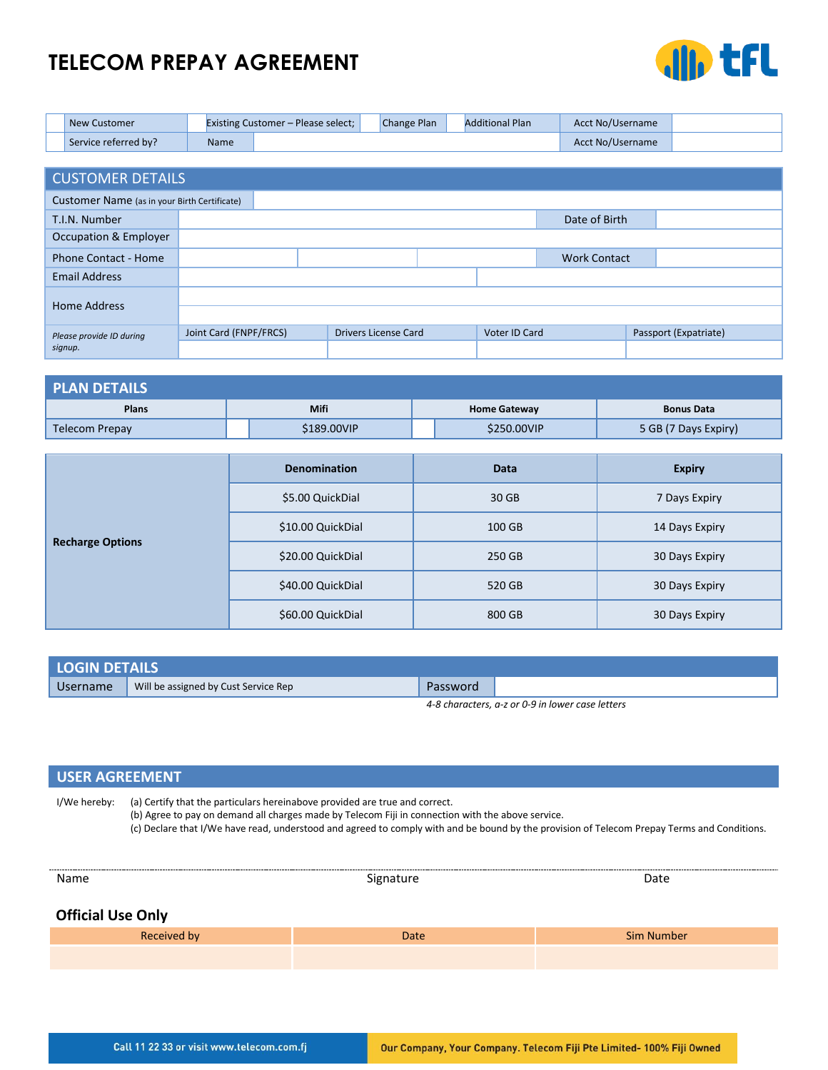# **TELECOM PREPAY AGREEMENT**



| <b>New Customer</b>  |             | <b>Existing Customer - Please select;</b> | Change Plan | <b>Additional Plan</b> | Acct No/Username |  |
|----------------------|-------------|-------------------------------------------|-------------|------------------------|------------------|--|
| Service referred by? | <b>Name</b> |                                           |             |                        | Acct No/Username |  |

| <b>CUSTOMER DETAILS</b>                      |                        |                             |               |                     |                       |  |
|----------------------------------------------|------------------------|-----------------------------|---------------|---------------------|-----------------------|--|
| Customer Name (as in your Birth Certificate) |                        |                             |               |                     |                       |  |
| T.I.N. Number                                |                        |                             |               | Date of Birth       |                       |  |
| Occupation & Employer                        |                        |                             |               |                     |                       |  |
| <b>Phone Contact - Home</b>                  |                        |                             |               | <b>Work Contact</b> |                       |  |
| <b>Email Address</b>                         |                        |                             |               |                     |                       |  |
| Home Address                                 |                        |                             |               |                     |                       |  |
|                                              |                        |                             |               |                     |                       |  |
| Please provide ID during                     | Joint Card (FNPF/FRCS) | <b>Drivers License Card</b> | Voter ID Card |                     | Passport (Expatriate) |  |
| signup.                                      |                        |                             |               |                     |                       |  |

| <b>PLAN DETAILS</b> |             |                     |                      |  |  |  |
|---------------------|-------------|---------------------|----------------------|--|--|--|
| <b>Plans</b>        | Mifi        | <b>Home Gateway</b> | <b>Bonus Data</b>    |  |  |  |
| Telecom Prepay      | \$189.00VIP | \$250.00VIP         | 5 GB (7 Days Expiry) |  |  |  |

|                         | <b>Denomination</b> | <b>Data</b> | <b>Expiry</b>  |  |
|-------------------------|---------------------|-------------|----------------|--|
|                         | \$5.00 QuickDial    | 30 GB       | 7 Days Expiry  |  |
|                         | \$10.00 QuickDial   | 100 GB      | 14 Days Expiry |  |
| <b>Recharge Options</b> | \$20.00 QuickDial   | 250 GB      | 30 Days Expiry |  |
|                         | \$40.00 QuickDial   | 520 GB      | 30 Days Expiry |  |
|                         | \$60.00 QuickDial   | 800 GB      | 30 Days Expiry |  |

| <b>LOGIN DETAILS</b> |                                      |          |  |  |  |
|----------------------|--------------------------------------|----------|--|--|--|
| <b>Username</b>      | Will be assigned by Cust Service Rep | Password |  |  |  |
|                      |                                      |          |  |  |  |

*4-8 characters, a-z or 0-9 in lower case letters*

# **USER AGREEMENT**

I/We hereby: (a) Certify that the particulars hereinabove provided are true and correct. (b) Agree to pay on demand all charges made by Telecom Fiji in connection with the above service. (c) Declare that I/We have read, understood and agreed to comply with and be bound by the provision of Telecom Prepay Terms and Conditions.

| Name                     | Signature | Date              |  |
|--------------------------|-----------|-------------------|--|
| <b>Official Use Only</b> |           |                   |  |
| Received by              | Date      | <b>Sim Number</b> |  |
|                          |           |                   |  |